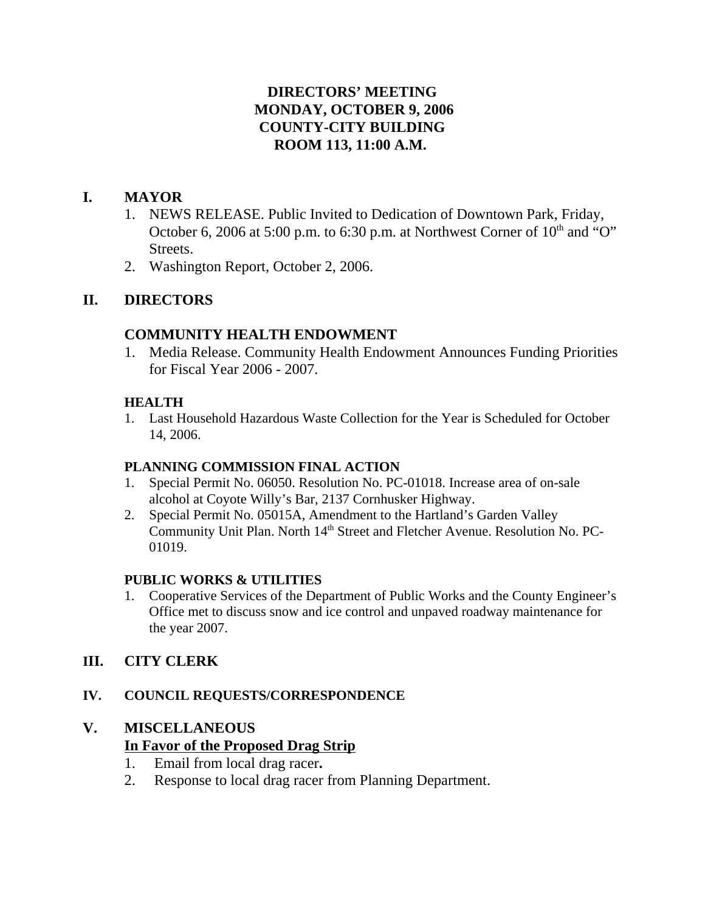# **DIRECTORS' MEETING MONDAY, OCTOBER 9, 2006 COUNTY-CITY BUILDING ROOM 113, 11:00 A.M.**

# **I. MAYOR**

- 1. NEWS RELEASE. Public Invited to Dedication of Downtown Park, Friday, October 6, 2006 at 5:00 p.m. to 6:30 p.m. at Northwest Corner of  $10<sup>th</sup>$  and "O" Streets.
- 2. Washington Report, October 2, 2006.

# **II. DIRECTORS**

# **COMMUNITY HEALTH ENDOWMENT**

1. Media Release. Community Health Endowment Announces Funding Priorities for Fiscal Year 2006 - 2007.

# **HEALTH**

1. Last Household Hazardous Waste Collection for the Year is Scheduled for October 14, 2006.

# **PLANNING COMMISSION FINAL ACTION**

- 1. Special Permit No. 06050. Resolution No. PC-01018. Increase area of on-sale alcohol at Coyote Willy's Bar, 2137 Cornhusker Highway.
- 2. Special Permit No. 05015A, Amendment to the Hartland's Garden Valley Community Unit Plan. North 14<sup>th</sup> Street and Fletcher Avenue. Resolution No. PC-01019.

# **PUBLIC WORKS & UTILITIES**

1. Cooperative Services of the Department of Public Works and the County Engineer's Office met to discuss snow and ice control and unpaved roadway maintenance for the year 2007.

# **III. CITY CLERK**

# **IV. COUNCIL REQUESTS/CORRESPONDENCE**

# **V. MISCELLANEOUS**

# **In Favor of the Proposed Drag Strip**

- 1. Email from local drag racer**.**
- 2. Response to local drag racer from Planning Department.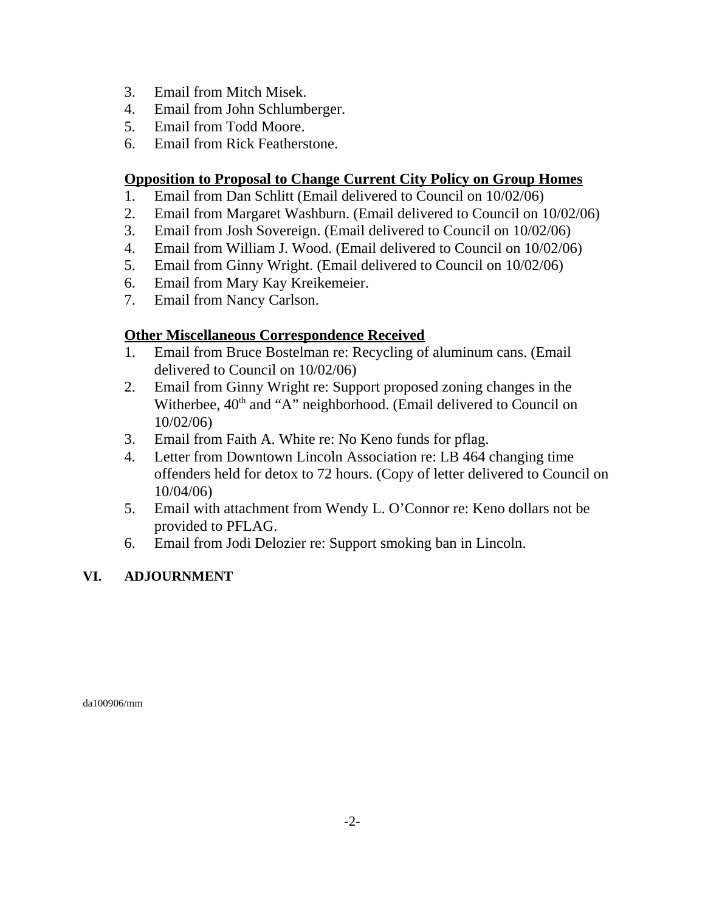- 3. Email from Mitch Misek.
- 4. Email from John Schlumberger.
- 5. Email from Todd Moore.
- 6. Email from Rick Featherstone.

### **Opposition to Proposal to Change Current City Policy on Group Homes**

- 1. Email from Dan Schlitt (Email delivered to Council on 10/02/06)
- 2. Email from Margaret Washburn. (Email delivered to Council on 10/02/06)
- 3. Email from Josh Sovereign. (Email delivered to Council on 10/02/06)
- 4. Email from William J. Wood. (Email delivered to Council on 10/02/06)
- 5. Email from Ginny Wright. (Email delivered to Council on 10/02/06)
- 6. Email from Mary Kay Kreikemeier.
- 7. Email from Nancy Carlson.

### **Other Miscellaneous Correspondence Received**

- 1. Email from Bruce Bostelman re: Recycling of aluminum cans. (Email delivered to Council on 10/02/06)
- 2. Email from Ginny Wright re: Support proposed zoning changes in the Witherbee,  $40<sup>th</sup>$  and "A" neighborhood. (Email delivered to Council on 10/02/06)
- 3. Email from Faith A. White re: No Keno funds for pflag.
- 4. Letter from Downtown Lincoln Association re: LB 464 changing time offenders held for detox to 72 hours. (Copy of letter delivered to Council on 10/04/06)
- 5. Email with attachment from Wendy L. O'Connor re: Keno dollars not be provided to PFLAG.
- 6. Email from Jodi Delozier re: Support smoking ban in Lincoln.

# **VI. ADJOURNMENT**

da100906/mm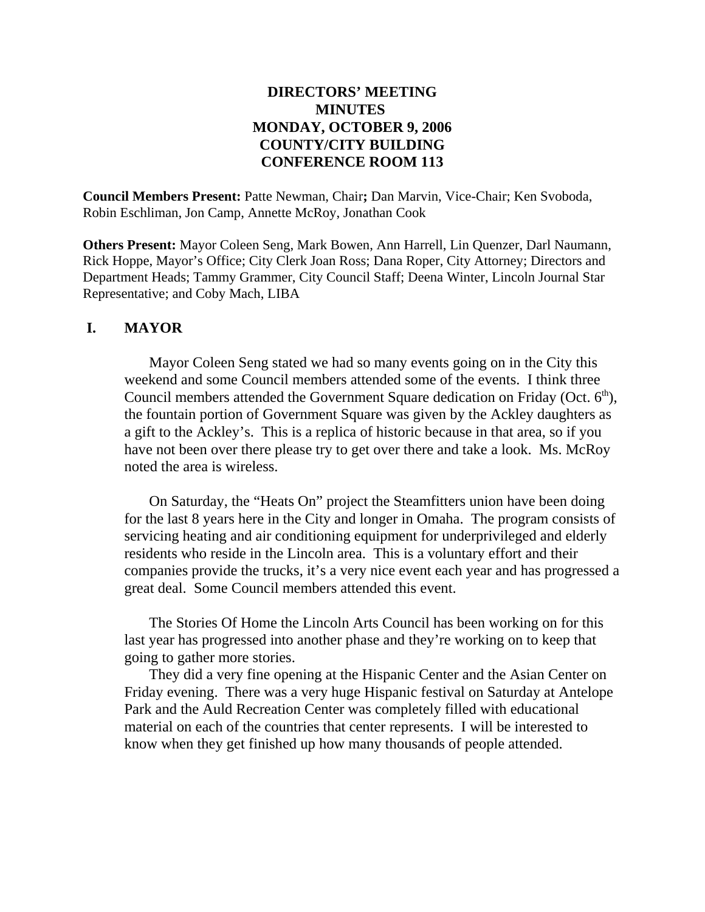# **DIRECTORS' MEETING MINUTES MONDAY, OCTOBER 9, 2006 COUNTY/CITY BUILDING CONFERENCE ROOM 113**

**Council Members Present:** Patte Newman, Chair**;** Dan Marvin, Vice-Chair; Ken Svoboda, Robin Eschliman, Jon Camp, Annette McRoy, Jonathan Cook

**Others Present:** Mayor Coleen Seng, Mark Bowen, Ann Harrell, Lin Quenzer, Darl Naumann, Rick Hoppe, Mayor's Office; City Clerk Joan Ross; Dana Roper, City Attorney; Directors and Department Heads; Tammy Grammer, City Council Staff; Deena Winter, Lincoln Journal Star Representative; and Coby Mach, LIBA

### **I. MAYOR**

Mayor Coleen Seng stated we had so many events going on in the City this weekend and some Council members attended some of the events. I think three Council members attended the Government Square dedication on Friday (Oct.  $6<sup>th</sup>$ ), the fountain portion of Government Square was given by the Ackley daughters as a gift to the Ackley's. This is a replica of historic because in that area, so if you have not been over there please try to get over there and take a look. Ms. McRoy noted the area is wireless.

On Saturday, the "Heats On" project the Steamfitters union have been doing for the last 8 years here in the City and longer in Omaha. The program consists of servicing heating and air conditioning equipment for underprivileged and elderly residents who reside in the Lincoln area. This is a voluntary effort and their companies provide the trucks, it's a very nice event each year and has progressed a great deal. Some Council members attended this event.

The Stories Of Home the Lincoln Arts Council has been working on for this last year has progressed into another phase and they're working on to keep that going to gather more stories.

They did a very fine opening at the Hispanic Center and the Asian Center on Friday evening. There was a very huge Hispanic festival on Saturday at Antelope Park and the Auld Recreation Center was completely filled with educational material on each of the countries that center represents. I will be interested to know when they get finished up how many thousands of people attended.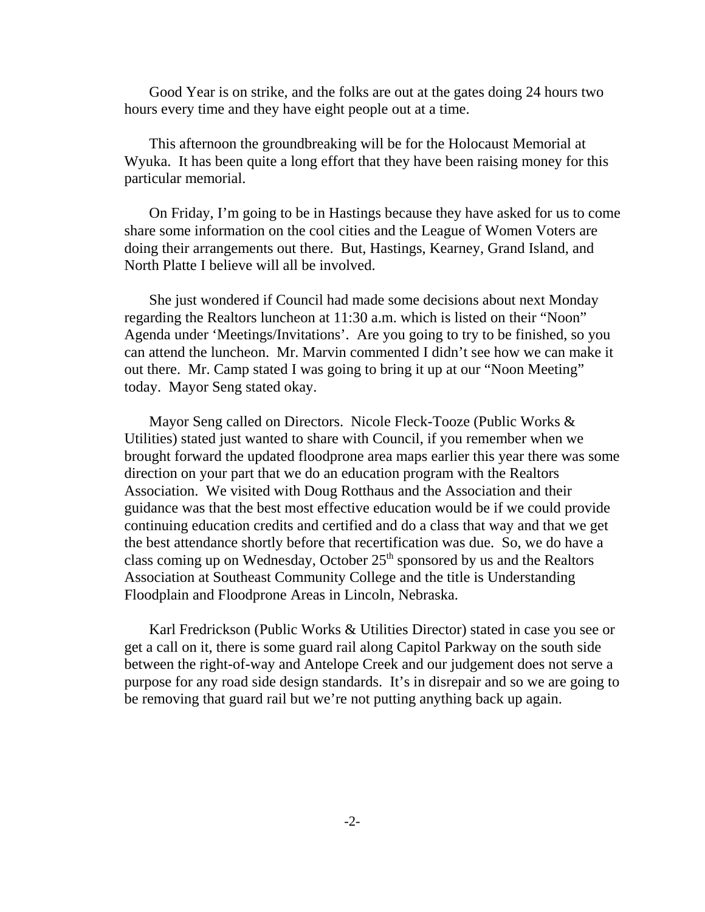Good Year is on strike, and the folks are out at the gates doing 24 hours two hours every time and they have eight people out at a time.

This afternoon the groundbreaking will be for the Holocaust Memorial at Wyuka. It has been quite a long effort that they have been raising money for this particular memorial.

On Friday, I'm going to be in Hastings because they have asked for us to come share some information on the cool cities and the League of Women Voters are doing their arrangements out there. But, Hastings, Kearney, Grand Island, and North Platte I believe will all be involved.

She just wondered if Council had made some decisions about next Monday regarding the Realtors luncheon at 11:30 a.m. which is listed on their "Noon" Agenda under 'Meetings/Invitations'. Are you going to try to be finished, so you can attend the luncheon. Mr. Marvin commented I didn't see how we can make it out there. Mr. Camp stated I was going to bring it up at our "Noon Meeting" today. Mayor Seng stated okay.

Mayor Seng called on Directors. Nicole Fleck-Tooze (Public Works & Utilities) stated just wanted to share with Council, if you remember when we brought forward the updated floodprone area maps earlier this year there was some direction on your part that we do an education program with the Realtors Association. We visited with Doug Rotthaus and the Association and their guidance was that the best most effective education would be if we could provide continuing education credits and certified and do a class that way and that we get the best attendance shortly before that recertification was due. So, we do have a class coming up on Wednesday, October  $25<sup>th</sup>$  sponsored by us and the Realtors Association at Southeast Community College and the title is Understanding Floodplain and Floodprone Areas in Lincoln, Nebraska.

Karl Fredrickson (Public Works & Utilities Director) stated in case you see or get a call on it, there is some guard rail along Capitol Parkway on the south side between the right-of-way and Antelope Creek and our judgement does not serve a purpose for any road side design standards. It's in disrepair and so we are going to be removing that guard rail but we're not putting anything back up again.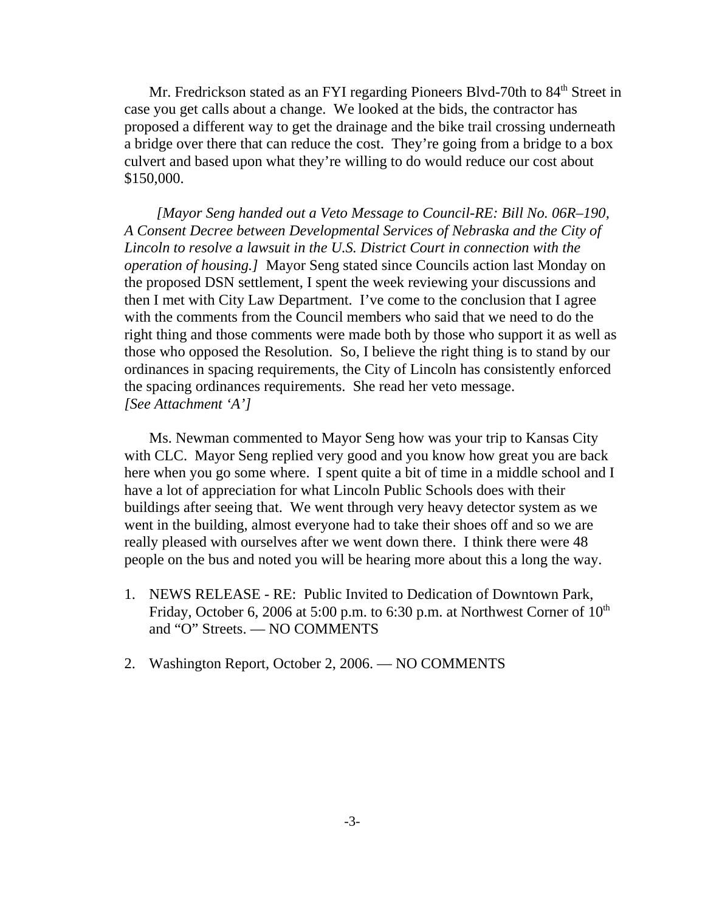Mr. Fredrickson stated as an FYI regarding Pioneers Blvd-70th to 84<sup>th</sup> Street in case you get calls about a change. We looked at the bids, the contractor has proposed a different way to get the drainage and the bike trail crossing underneath a bridge over there that can reduce the cost. They're going from a bridge to a box culvert and based upon what they're willing to do would reduce our cost about \$150,000.

 *[Mayor Seng handed out a Veto Message to Council-RE: Bill No. 06R–190, A Consent Decree between Developmental Services of Nebraska and the City of Lincoln to resolve a lawsuit in the U.S. District Court in connection with the operation of housing.]* Mayor Seng stated since Councils action last Monday on the proposed DSN settlement, I spent the week reviewing your discussions and then I met with City Law Department. I've come to the conclusion that I agree with the comments from the Council members who said that we need to do the right thing and those comments were made both by those who support it as well as those who opposed the Resolution. So, I believe the right thing is to stand by our ordinances in spacing requirements, the City of Lincoln has consistently enforced the spacing ordinances requirements. She read her veto message. *[See Attachment 'A']*

Ms. Newman commented to Mayor Seng how was your trip to Kansas City with CLC. Mayor Seng replied very good and you know how great you are back here when you go some where. I spent quite a bit of time in a middle school and I have a lot of appreciation for what Lincoln Public Schools does with their buildings after seeing that. We went through very heavy detector system as we went in the building, almost everyone had to take their shoes off and so we are really pleased with ourselves after we went down there. I think there were 48 people on the bus and noted you will be hearing more about this a long the way.

- 1. NEWS RELEASE RE: Public Invited to Dedication of Downtown Park, Friday, October 6, 2006 at 5:00 p.m. to 6:30 p.m. at Northwest Corner of  $10<sup>th</sup>$ and "O" Streets. — NO COMMENTS
- 2. Washington Report, October 2, 2006. NO COMMENTS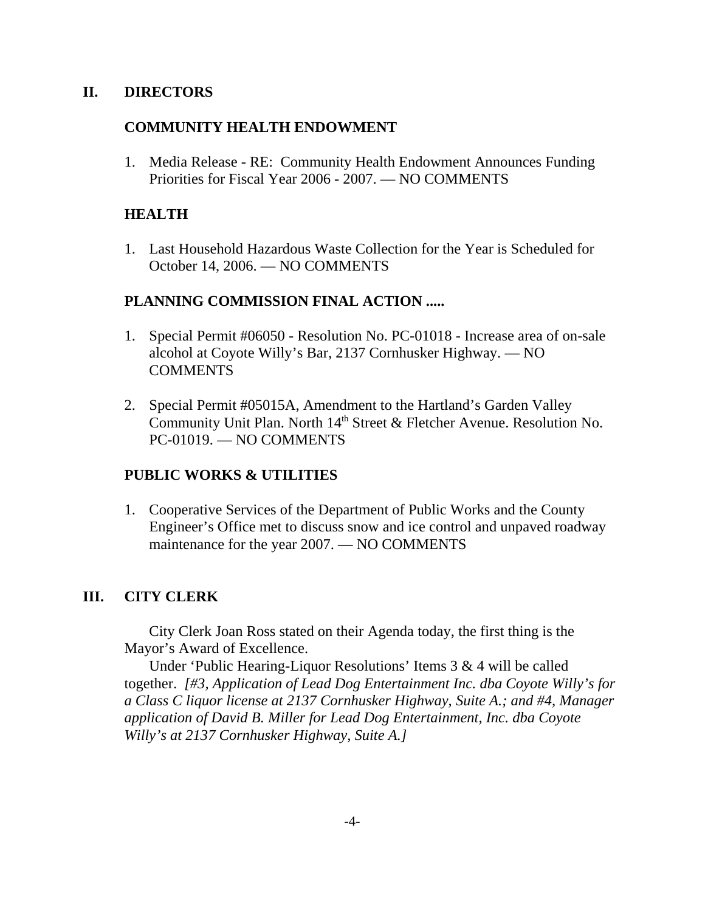### **II. DIRECTORS**

### **COMMUNITY HEALTH ENDOWMENT**

1. Media Release - RE: Community Health Endowment Announces Funding Priorities for Fiscal Year 2006 - 2007. — NO COMMENTS

### **HEALTH**

1. Last Household Hazardous Waste Collection for the Year is Scheduled for October 14, 2006. — NO COMMENTS

# **PLANNING COMMISSION FINAL ACTION .....**

- 1. Special Permit #06050 Resolution No. PC-01018 Increase area of on-sale alcohol at Coyote Willy's Bar, 2137 Cornhusker Highway. — NO **COMMENTS**
- 2. Special Permit #05015A, Amendment to the Hartland's Garden Valley Community Unit Plan. North 14<sup>th</sup> Street & Fletcher Avenue. Resolution No. PC-01019. — NO COMMENTS

# **PUBLIC WORKS & UTILITIES**

1. Cooperative Services of the Department of Public Works and the County Engineer's Office met to discuss snow and ice control and unpaved roadway maintenance for the year 2007. — NO COMMENTS

# **III. CITY CLERK**

City Clerk Joan Ross stated on their Agenda today, the first thing is the Mayor's Award of Excellence.

Under 'Public Hearing-Liquor Resolutions' Items 3 & 4 will be called together. *[#3, Application of Lead Dog Entertainment Inc. dba Coyote Willy's for a Class C liquor license at 2137 Cornhusker Highway, Suite A.; and #4, Manager application of David B. Miller for Lead Dog Entertainment, Inc. dba Coyote Willy's at 2137 Cornhusker Highway, Suite A.]*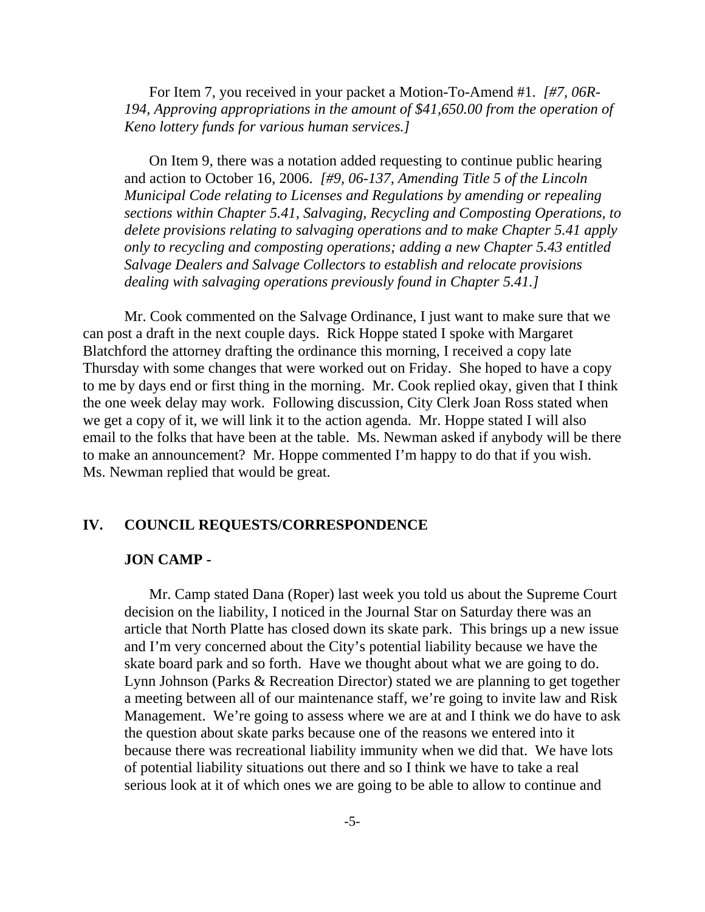For Item 7, you received in your packet a Motion-To-Amend #1. *[#7, 06R-194, Approving appropriations in the amount of \$41,650.00 from the operation of Keno lottery funds for various human services.]* 

On Item 9, there was a notation added requesting to continue public hearing and action to October 16, 2006. *[#9, 06-137, Amending Title 5 of the Lincoln Municipal Code relating to Licenses and Regulations by amending or repealing sections within Chapter 5.41, Salvaging, Recycling and Composting Operations, to delete provisions relating to salvaging operations and to make Chapter 5.41 apply only to recycling and composting operations; adding a new Chapter 5.43 entitled Salvage Dealers and Salvage Collectors to establish and relocate provisions dealing with salvaging operations previously found in Chapter 5.41.]* 

Mr. Cook commented on the Salvage Ordinance, I just want to make sure that we can post a draft in the next couple days. Rick Hoppe stated I spoke with Margaret Blatchford the attorney drafting the ordinance this morning, I received a copy late Thursday with some changes that were worked out on Friday. She hoped to have a copy to me by days end or first thing in the morning. Mr. Cook replied okay, given that I think the one week delay may work. Following discussion, City Clerk Joan Ross stated when we get a copy of it, we will link it to the action agenda. Mr. Hoppe stated I will also email to the folks that have been at the table. Ms. Newman asked if anybody will be there to make an announcement? Mr. Hoppe commented I'm happy to do that if you wish. Ms. Newman replied that would be great.

### **IV. COUNCIL REQUESTS/CORRESPONDENCE**

#### **JON CAMP -**

Mr. Camp stated Dana (Roper) last week you told us about the Supreme Court decision on the liability, I noticed in the Journal Star on Saturday there was an article that North Platte has closed down its skate park. This brings up a new issue and I'm very concerned about the City's potential liability because we have the skate board park and so forth. Have we thought about what we are going to do. Lynn Johnson (Parks & Recreation Director) stated we are planning to get together a meeting between all of our maintenance staff, we're going to invite law and Risk Management. We're going to assess where we are at and I think we do have to ask the question about skate parks because one of the reasons we entered into it because there was recreational liability immunity when we did that. We have lots of potential liability situations out there and so I think we have to take a real serious look at it of which ones we are going to be able to allow to continue and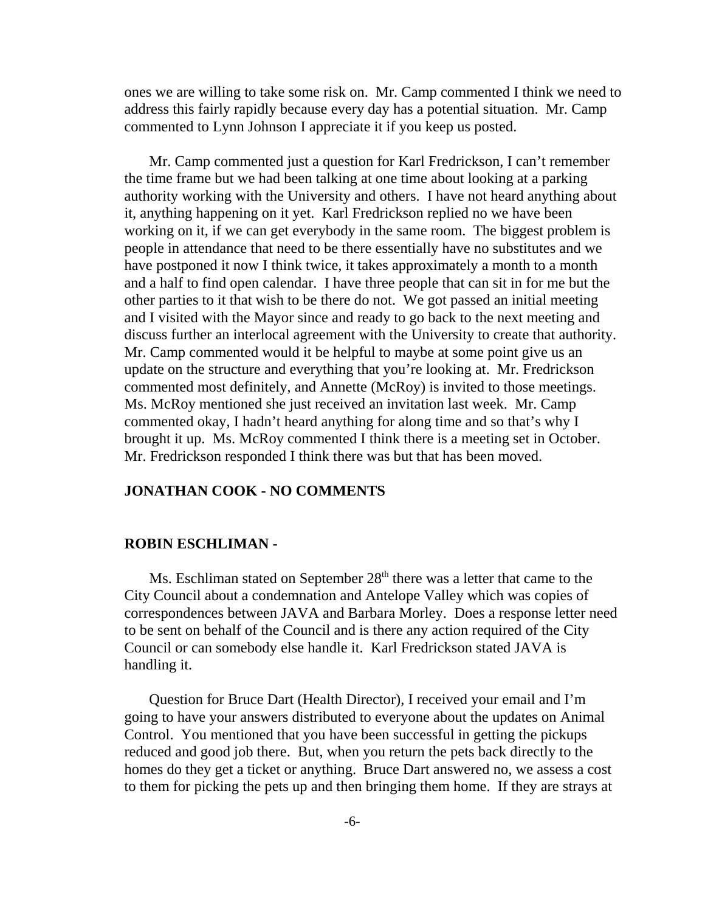ones we are willing to take some risk on. Mr. Camp commented I think we need to address this fairly rapidly because every day has a potential situation. Mr. Camp commented to Lynn Johnson I appreciate it if you keep us posted.

Mr. Camp commented just a question for Karl Fredrickson, I can't remember the time frame but we had been talking at one time about looking at a parking authority working with the University and others. I have not heard anything about it, anything happening on it yet. Karl Fredrickson replied no we have been working on it, if we can get everybody in the same room. The biggest problem is people in attendance that need to be there essentially have no substitutes and we have postponed it now I think twice, it takes approximately a month to a month and a half to find open calendar. I have three people that can sit in for me but the other parties to it that wish to be there do not. We got passed an initial meeting and I visited with the Mayor since and ready to go back to the next meeting and discuss further an interlocal agreement with the University to create that authority. Mr. Camp commented would it be helpful to maybe at some point give us an update on the structure and everything that you're looking at. Mr. Fredrickson commented most definitely, and Annette (McRoy) is invited to those meetings. Ms. McRoy mentioned she just received an invitation last week. Mr. Camp commented okay, I hadn't heard anything for along time and so that's why I brought it up. Ms. McRoy commented I think there is a meeting set in October. Mr. Fredrickson responded I think there was but that has been moved.

### **JONATHAN COOK - NO COMMENTS**

#### **ROBIN ESCHLIMAN -**

Ms. Eschliman stated on September  $28<sup>th</sup>$  there was a letter that came to the City Council about a condemnation and Antelope Valley which was copies of correspondences between JAVA and Barbara Morley. Does a response letter need to be sent on behalf of the Council and is there any action required of the City Council or can somebody else handle it. Karl Fredrickson stated JAVA is handling it.

Question for Bruce Dart (Health Director), I received your email and I'm going to have your answers distributed to everyone about the updates on Animal Control. You mentioned that you have been successful in getting the pickups reduced and good job there. But, when you return the pets back directly to the homes do they get a ticket or anything. Bruce Dart answered no, we assess a cost to them for picking the pets up and then bringing them home. If they are strays at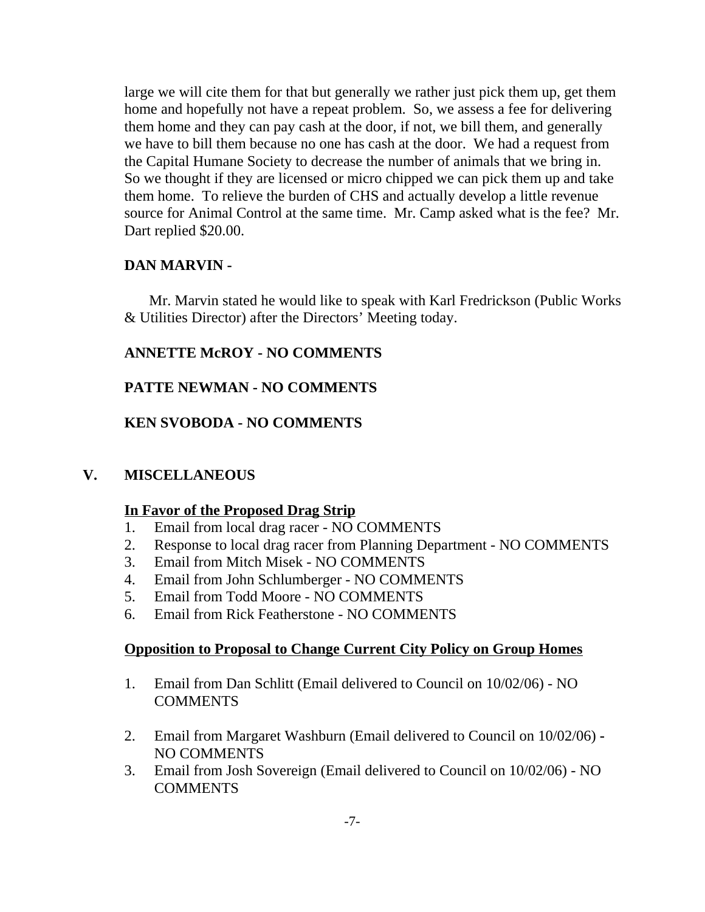large we will cite them for that but generally we rather just pick them up, get them home and hopefully not have a repeat problem. So, we assess a fee for delivering them home and they can pay cash at the door, if not, we bill them, and generally we have to bill them because no one has cash at the door. We had a request from the Capital Humane Society to decrease the number of animals that we bring in. So we thought if they are licensed or micro chipped we can pick them up and take them home. To relieve the burden of CHS and actually develop a little revenue source for Animal Control at the same time. Mr. Camp asked what is the fee? Mr. Dart replied \$20.00.

### **DAN MARVIN -**

Mr. Marvin stated he would like to speak with Karl Fredrickson (Public Works & Utilities Director) after the Directors' Meeting today.

# **ANNETTE McROY - NO COMMENTS**

# **PATTE NEWMAN - NO COMMENTS**

# **KEN SVOBODA - NO COMMENTS**

# **V. MISCELLANEOUS**

### **In Favor of the Proposed Drag Strip**

- 1. Email from local drag racer NO COMMENTS
- 2. Response to local drag racer from Planning Department NO COMMENTS
- 3. Email from Mitch Misek NO COMMENTS
- 4. Email from John Schlumberger NO COMMENTS
- 5. Email from Todd Moore NO COMMENTS
- 6. Email from Rick Featherstone NO COMMENTS

### **Opposition to Proposal to Change Current City Policy on Group Homes**

- 1. Email from Dan Schlitt (Email delivered to Council on 10/02/06) NO **COMMENTS**
- 2. Email from Margaret Washburn (Email delivered to Council on 10/02/06) **-** NO COMMENTS
- 3. Email from Josh Sovereign (Email delivered to Council on 10/02/06) NO **COMMENTS**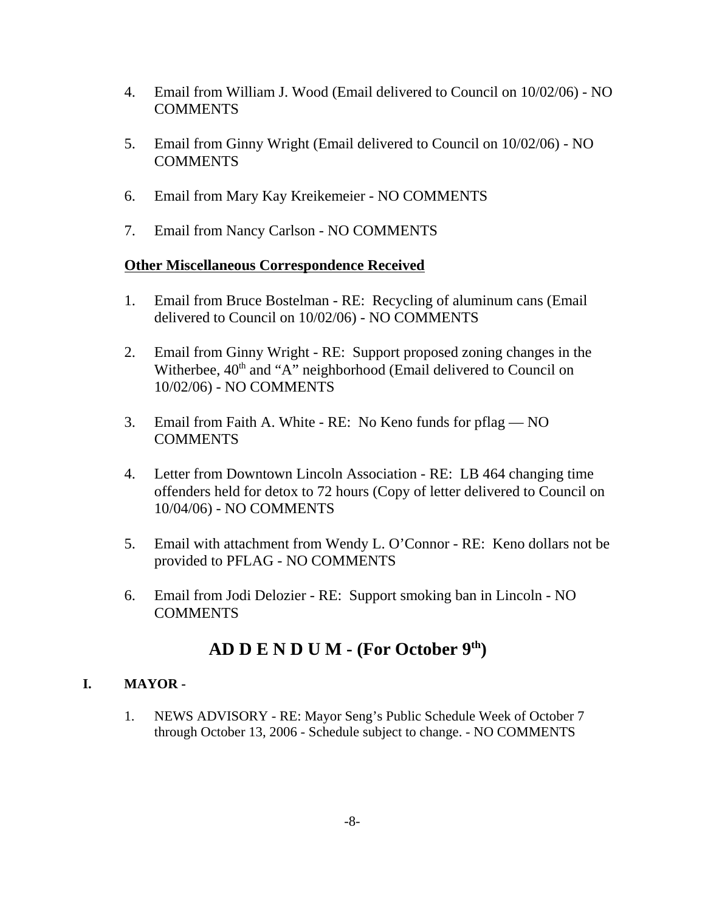- 4. Email from William J. Wood (Email delivered to Council on 10/02/06) NO **COMMENTS**
- 5. Email from Ginny Wright (Email delivered to Council on 10/02/06) NO COMMENTS
- 6. Email from Mary Kay Kreikemeier NO COMMENTS
- 7. Email from Nancy Carlson NO COMMENTS

### **Other Miscellaneous Correspondence Received**

- 1. Email from Bruce Bostelman RE: Recycling of aluminum cans (Email delivered to Council on 10/02/06) - NO COMMENTS
- 2. Email from Ginny Wright RE: Support proposed zoning changes in the Witherbee,  $40<sup>th</sup>$  and "A" neighborhood (Email delivered to Council on 10/02/06) - NO COMMENTS
- 3. Email from Faith A. White RE: No Keno funds for pflag NO COMMENTS
- 4. Letter from Downtown Lincoln Association RE: LB 464 changing time offenders held for detox to 72 hours (Copy of letter delivered to Council on 10/04/06) - NO COMMENTS
- 5. Email with attachment from Wendy L. O'Connor RE: Keno dollars not be provided to PFLAG - NO COMMENTS
- 6. Email from Jodi Delozier RE: Support smoking ban in Lincoln NO COMMENTS

# **AD D E N D U M - (For October 9th)**

### **I. MAYOR -**

1. NEWS ADVISORY - RE: Mayor Seng's Public Schedule Week of October 7 through October 13, 2006 - Schedule subject to change. - NO COMMENTS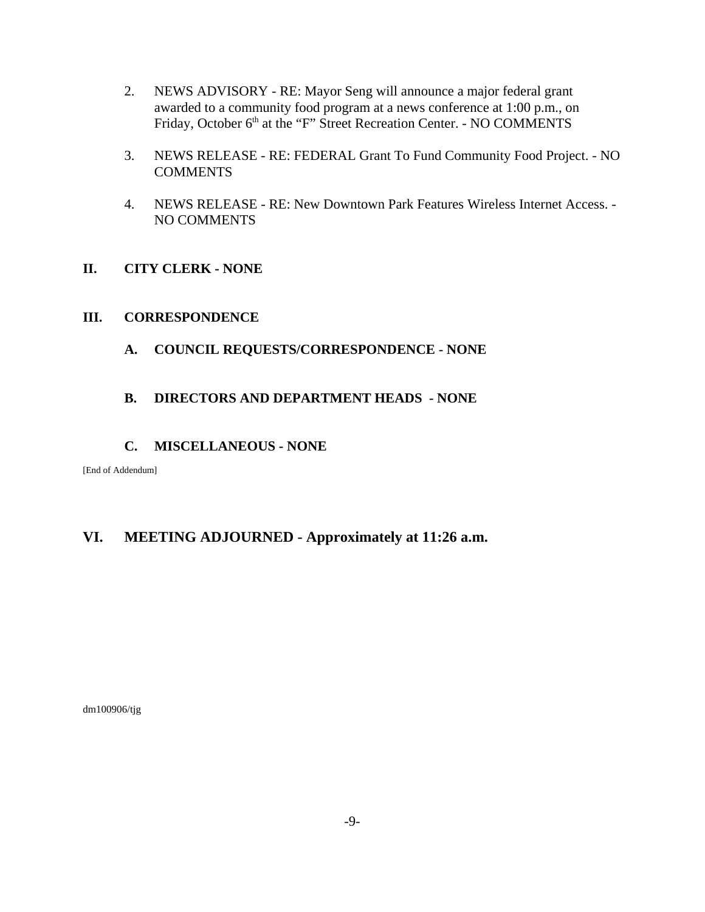- 2. NEWS ADVISORY RE: Mayor Seng will announce a major federal grant awarded to a community food program at a news conference at 1:00 p.m., on Friday, October 6<sup>th</sup> at the "F" Street Recreation Center. - NO COMMENTS
- 3. NEWS RELEASE RE: FEDERAL Grant To Fund Community Food Project. NO **COMMENTS**
- 4. NEWS RELEASE RE: New Downtown Park Features Wireless Internet Access. NO COMMENTS

### **II. CITY CLERK - NONE**

### **III. CORRESPONDENCE**

**A. COUNCIL REQUESTS/CORRESPONDENCE - NONE**

### **B. DIRECTORS AND DEPARTMENT HEADS - NONE**

### **C. MISCELLANEOUS - NONE**

[End of Addendum]

# **VI. MEETING ADJOURNED - Approximately at 11:26 a.m.**

dm100906/tjg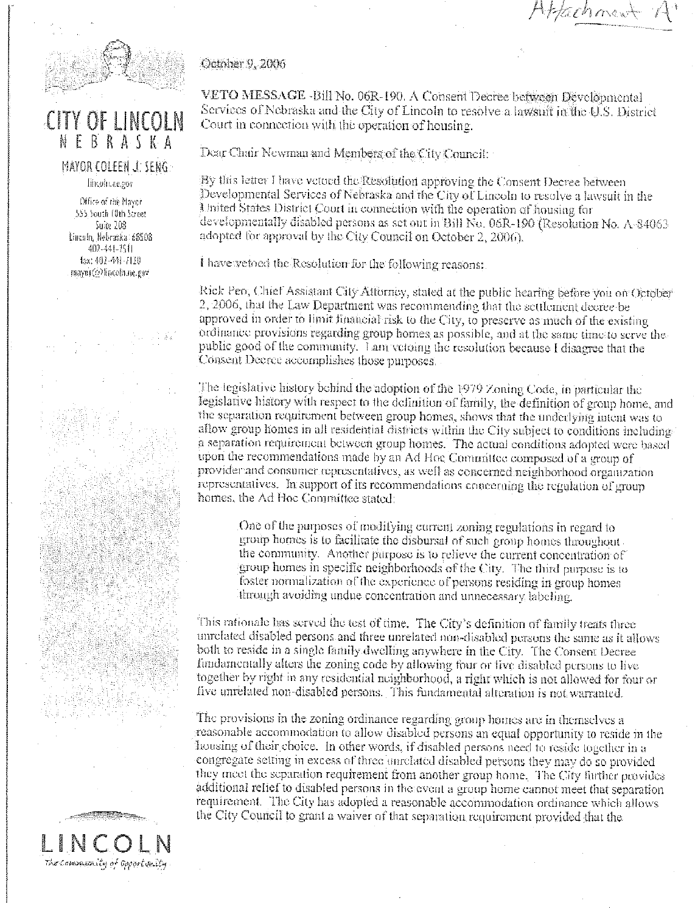4 fachment



# CITY OF LINCOLN NEBRASKA

# MAYOR COLEEN J. SENG.

Пікойнаслог

Office of the Mayor 555 South 10th Street Suite 108 Lincoln, Nebraska 68508 402-441-7511 fax: 402-441-7120 mayor@fincoln.ne.gov

October 9, 2006

VETO MESSAGE -Bill No. 06R-190. A Consent Decree between Developmental Services of Nebraska and the City of Lincoln to resolve a lawsuit in the U.S. District Court in connection with the operation of housing.

Dear Chair Newman and Members of the City Council:

By this letter I have vetoed the Resolution approving the Consent Decree between Developmental Services of Nebraska and the City of Lincoln to resolve a lawsuit in the United States District Court in connection with the operation of housing for developmentally disabled persons as set out in Bill No. 06R-190 (Resolution No. A-84063 adopted for approval by the City Council on October 2, 2006).

I have vetoed the Resolution for the following reasons:

Rick Peo, Chief Assistant City Allumey, stated at the public hearing before you on October 2, 2006, that the Law Department was recommending that the settlement decree be approved in order to limit financial risk to the City, to preserve as much of the existing ordinance provisions regarding group homes as possible, and at the same time to serve the public good of the community. Lam vetoing the resolution because I disagree that the Consent Decree accomplishes those purposes.

The legislative history behind the adoption of the 1979 Zoning Code, in particular the legislative history with respect to the definition of family, the definition of group home, and the separation requirement between group homes, shows that the underlying intent was to allow group homes in all residential districts within the City subject to conditions includinga separation requirement between group homes. The actual conditions adopted were based upon the recommendations made by an Ad Hoe Committee composed of a group of provider and consumer representatives, as well as concerned neighborhood organization representatives. In support of its recommendations concerning the regulation of group homes, the Ad Hoc Committee stated:

One of the purposes of modifying current zoning regulations in regard to group homes is to facilitate the disbursal of such group homes throughout. the community. Another purpose is to relieve the current concentration of group homes in specific neighborhoods of the City. The third purpose is to foster normalization of the experience of persons residing in group homes through avoiding undue concentration and unnecessary labeling.

This rationale has served the test of time. The City's definition of family treats three unrelated disabled persons and three unrelated non-disabled persons the same as it allows both to reside in a single family dwelling anywhere in the City. The Consent Decree fundamentally alters the zoning code by allowing four or five disabled persons to live together by right in any residential neighborhood, a right which is not allowed for four or live unrelated non-disabled persons. This fundamental alteration is not warranted.

The provisions in the zoning ordinance regarding group homes are in themselves a reasonable accommodation to allow disabled persons an equal opportunity to reside in the housing of their choice. In other words, if disabled persons need to reside together in a congregate setting in excess of three unrelated disabled persons they may do so provided they meet the separation requirement from another group home. The City further provides additional relief to disabled persons in the event a group home cannot meet that separation requirement. The City has adopted a reasonable accommodation ordinance which allows the City Council to grant a waiver of that separation requirement provided that the

The community of apportunity